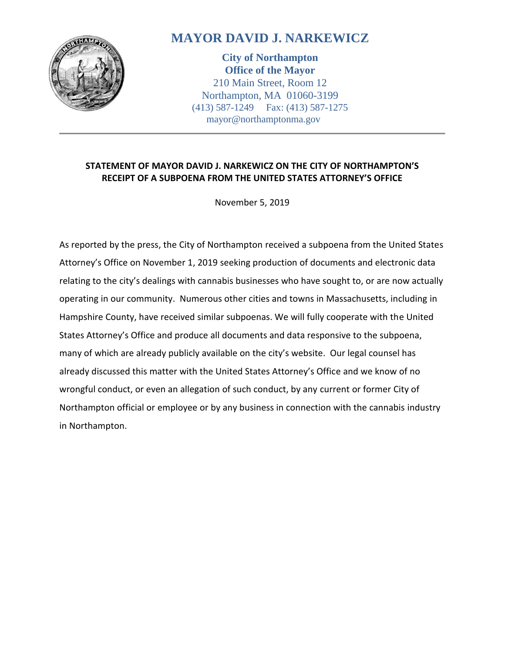

# **MAYOR DAVID J. NARKEWICZ**

**City of Northampton Office of the Mayor** 210 Main Street, Room 12 Northampton, MA 01060-3199 (413) 587-1249 Fax: (413) 587-1275 mayor@northamptonma.gov

### **STATEMENT OF MAYOR DAVID J. NARKEWICZ ON THE CITY OF NORTHAMPTON'S RECEIPT OF A SUBPOENA FROM THE UNITED STATES ATTORNEY'S OFFICE**

November 5, 2019

As reported by the press, the City of Northampton received a subpoena from the United States Attorney's Office on November 1, 2019 seeking production of documents and electronic data relating to the city's dealings with cannabis businesses who have sought to, or are now actually operating in our community. Numerous other cities and towns in Massachusetts, including in Hampshire County, have received similar subpoenas. We will fully cooperate with the United States Attorney's Office and produce all documents and data responsive to the subpoena, many of which are already publicly available on the city's website. Our legal counsel has already discussed this matter with the United States Attorney's Office and we know of no wrongful conduct, or even an allegation of such conduct, by any current or former City of Northampton official or employee or by any business in connection with the cannabis industry in Northampton.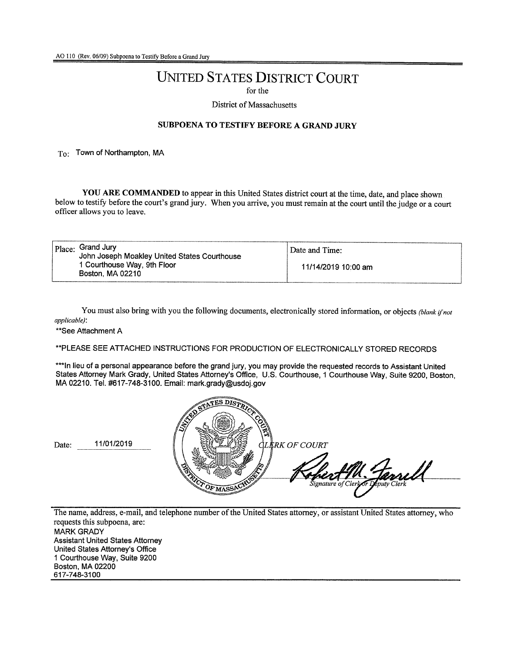## UNITED STATES DISTRICT COURT

for the

District of Massachusetts

#### SUBPOENA TO TESTIFY BEFORE A GRAND JURy

To: Town of Northampton, MA

YOU ARE COMMANDED to appear in this United States district court at the time, date, and place shown below to testify before the court's grand jury. When you arrive, you must remain at the court until the judge or a court officer allows you to leave.

|  | $ $ $_{\rm Place}$ : Grand Jury<br>John Joseph Moakley United States Courthouse<br>1 Courthouse Way, 9th Floor<br>Boston, MA 02210 | Date and Time:      |
|--|------------------------------------------------------------------------------------------------------------------------------------|---------------------|
|  |                                                                                                                                    | 11/14/2019 10:00 am |

You must also bring with you the following documents, electronically stored information, or objects *(blank ifnot applicable):*

\*\*See Attachment A

\*\*PLEASE SEE ATTACHED INSTRUCTIONS FOR PRODUCTION OF ELECTRONICALLY STORED RECORDS

\*\*\*In lieu of a personal appearance before the grand jury, you may provide the requested records to Assistant United States Attomey Mark Grady, United States Attorney's Office, U.S. Courthouse, 1 Courthouse Way, Suite 9200, Boston, MA 02210. Tel. #617-748-3100. Email: mark.grady@usdoj.gov



The name, address, e-mail, and telephone number of the United States attorney, or assistant United States attorney, who requests this subpoena, are: MARK GRADY Assistant United States Attorney United States Attorney's Office 1 Courthouse Way, Suite 9200 Boston, MA 02200 617-748-3100